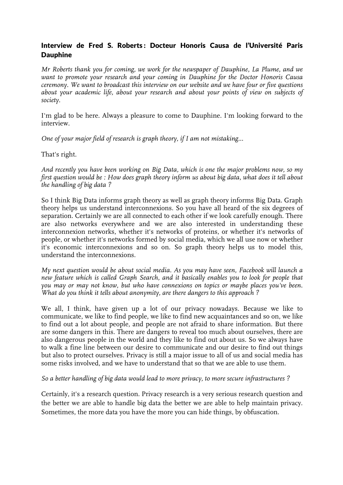## Interview de Fred S. Roberts: Docteur Honoris Causa de l'Université Paris Dauphine

*Mr Roberts thank you for coming, we work for the newspaper of Dauphine, La Plume, and we want to promote your research and your coming in Dauphine for the Doctor Honoris Causa ceremony. We want to broadcast this interview on our website and we have four or five questions about your academic life, about your research and about your points of view on subjects of society.*

I'm glad to be here. Always a pleasure to come to Dauphine. I'm looking forward to the interview.

*One of your major field of research is graph theory, if I am not mistaking...*

That's right.

*And recently you have been working on Big Data, which is one the major problems now, so my first question would be : How does graph theory inform us about big data, what does it tell about the handling of big data ?*

So I think Big Data informs graph theory as well as graph theory informs Big Data. Graph theory helps us understand interconnexions. So you have all heard of the six degrees of separation. Certainly we are all connected to each other if we look carefully enough. There are also networks everywhere and we are also interested in understanding these interconnexion networks, whether it's networks of proteins, or whether it's networks of people, or whether it's networks formed by social media, which we all use now or whether it's economic interconnexions and so on. So graph theory helps us to model this, understand the interconnexions.

*My next question would be about social media. As you may have seen, Facebook will launch a new feature which is called Graph Search, and it basically enables you to look for people that you may or may not know, but who have connexions on topics or maybe places you've been. What do you think it tells about anonymity, are there dangers to this approach ?*

We all, I think, have given up a lot of our privacy nowadays. Because we like to communicate, we like to find people, we like to find new acquaintances and so on, we like to find out a lot about people, and people are not afraid to share information. But there are some dangers in this. There are dangers to reveal too much about ourselves, there are also dangerous people in the world and they like to find out about us. So we always have to walk a fine line between our desire to communicate and our desire to find out things but also to protect ourselves. Privacy is still a major issue to all of us and social media has some risks involved, and we have to understand that so that we are able to use them.

*So a better handling of big data would lead to more privacy, to more secure infrastructures ?*

Certainly, it's a research question. Privacy research is a very serious research question and the better we are able to handle big data the better we are able to help maintain privacy. Sometimes, the more data you have the more you can hide things, by obfuscation.